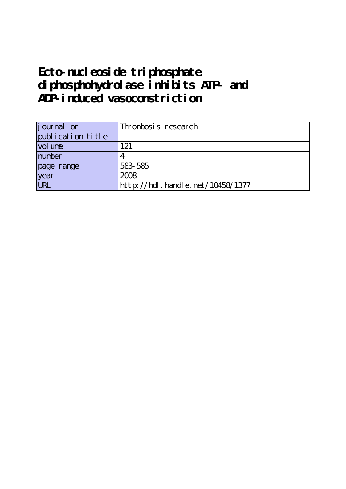## **Ecto-nucleoside triphosphate diphosphohydrolase inhibits ATP- and ADP-induced vasoconstriction**

| <i>j</i> ournal or | Thrombosis research              |
|--------------------|----------------------------------|
| publication title  |                                  |
| vol une            | 121                              |
| number             |                                  |
| page range         | 583 585                          |
| year               | 2008                             |
| <b>LRL</b>         | http://hdl.handle.net/10458/1377 |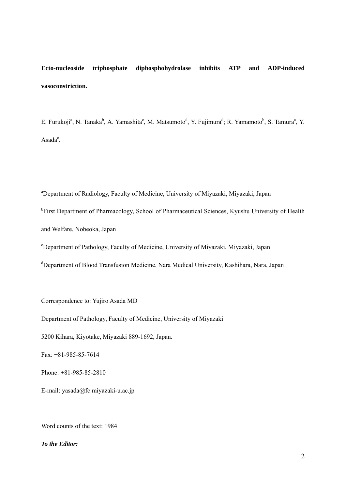**Ecto-nucleoside triphosphate diphosphohydrolase inhibits ATP and ADP-induced vasoconstriction.**

E. Furukoji<sup>a</sup>, N. Tanaka<sup>b</sup>, A. Yamashita<sup>c</sup>, M. Matsumoto<sup>d</sup>, Y. Fujimura<sup>d</sup>; R. Yamamoto<sup>b</sup>, S. Tamura<sup>a</sup>, Y.  $\text{Asada}^c$ .

a Department of Radiology, Faculty of Medicine, University of Miyazaki, Miyazaki, Japan <sup>b</sup>First Department of Pharmacology, School of Pharmaceutical Sciences, Kyushu University of Health and Welfare, Nobeoka, Japan

c Department of Pathology, Faculty of Medicine, University of Miyazaki, Miyazaki, Japan

<sup>d</sup>Department of Blood Transfusion Medicine, Nara Medical University, Kashihara, Nara, Japan

Correspondence to: Yujiro Asada MD

Department of Pathology, Faculty of Medicine, University of Miyazaki

5200 Kihara, Kiyotake, Miyazaki 889-1692, Japan.

Fax: +81-985-85-7614

Phone: +81-985-85-2810

E-mail: [yasada@fc.miyazaki-u.ac.jp](mailto:yasada@fc.miyazaki-u.ac.jp)

Word counts of the text: 1984

## *To the Editor:*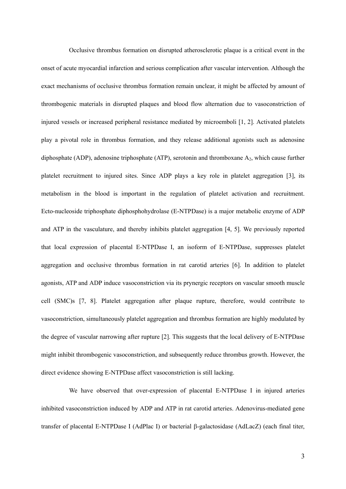Occlusive thrombus formation on disrupted atherosclerotic plaque is a critical event in the onset of acute myocardial infarction and serious complication after vascular intervention. Although the exact mechanisms of occlusive thrombus formation remain unclear, it might be affected by amount of thrombogenic materials in disrupted plaques and blood flow alternation due to vasoconstriction of injured vessels or increased peripheral resistance mediated by microemboli [1, 2]. Activated platelets play a pivotal role in thrombus formation, and they release additional agonists such as adenosine diphosphate (ADP), adenosine triphosphate (ATP), serotonin and thromboxane  $A_2$ , which cause further platelet recruitment to injured sites. Since ADP plays a key role in platelet aggregation [3], its metabolism in the blood is important in the regulation of platelet activation and recruitment. Ecto-nucleoside triphosphate diphosphohydrolase (E-NTPDase) is a major metabolic enzyme of ADP and ATP in the vasculature, and thereby inhibits platelet aggregation [4, 5]. We previously reported that local expression of placental E-NTPDase I, an isoform of E-NTPDase, suppresses platelet aggregation and occlusive thrombus formation in rat carotid arteries [6]. In addition to platelet agonists, ATP and ADP induce vasoconstriction via its prynergic receptors on vascular smooth muscle cell (SMC)s [7, 8]. Platelet aggregation after plaque rupture, therefore, would contribute to vasoconstriction, simultaneously platelet aggregation and thrombus formation are highly modulated by the degree of vascular narrowing after rupture [2]. This suggests that the local delivery of E-NTPDase might inhibit thrombogenic vasoconstriction, and subsequently reduce thrombus growth. However, the direct evidence showing E-NTPDase affect vasoconstriction is still lacking.

We have observed that over-expression of placental E-NTPDase I in injured arteries inhibited vasoconstriction induced by ADP and ATP in rat carotid arteries. Adenovirus-mediated gene transfer of placental E-NTPDase I (AdPlac I) or bacterial β-galactosidase (AdLacZ) (each final titer,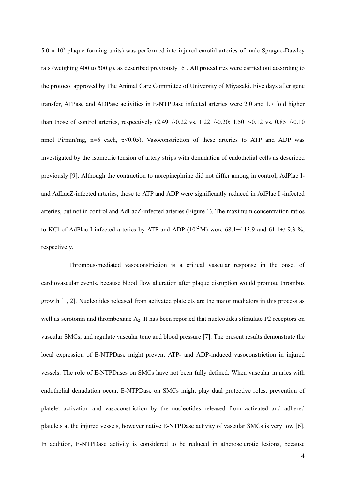$5.0 \times 10^8$  plaque forming units) was performed into injured carotid arteries of male Sprague-Dawley rats (weighing 400 to 500 g), as described previously [6]. All procedures were carried out according to the protocol approved by The Animal Care Committee of University of Miyazaki. Five days after gene transfer, ATPase and ADPase activities in E-NTPDase infected arteries were 2.0 and 1.7 fold higher than those of control arteries, respectively (2.49+/-0.22 vs. 1.22+/-0.20; 1.50+/-0.12 vs. 0.85+/-0.10 nmol Pi/min/mg, n=6 each, p<0.05). Vasoconstriction of these arteries to ATP and ADP was investigated by the isometric tension of artery strips with denudation of endothelial cells as described previously [9]. Although the contraction to norepinephrine did not differ among in control, AdPlac Iand AdLacZ-infected arteries, those to ATP and ADP were significantly reduced in AdPlac I -infected arteries, but not in control and AdLacZ-infected arteries (Figure 1). The maximum concentration ratios to KCl of AdPlac I-infected arteries by ATP and ADP  $(10^{-2} M)$  were 68.1+/-13.9 and 61.1+/-9.3 %, respectively.

Thrombus-mediated vasoconstriction is a critical vascular response in the onset of cardiovascular events, because blood flow alteration after plaque disruption would promote thrombus growth [1, 2]. Nucleotides released from activated platelets are the major mediators in this process as well as serotonin and thromboxane A<sub>2</sub>. It has been reported that nucleotides stimulate P2 receptors on vascular SMCs, and regulate vascular tone and blood pressure [7]. The present results demonstrate the local expression of E-NTPDase might prevent ATP- and ADP-induced vasoconstriction in injured vessels. The role of E-NTPDases on SMCs have not been fully defined. When vascular injuries with endothelial denudation occur, E-NTPDase on SMCs might play dual protective roles, prevention of platelet activation and vasoconstriction by the nucleotides released from activated and adhered platelets at the injured vessels, however native E-NTPDase activity of vascular SMCs is very low [6]. In addition, E-NTPDase activity is considered to be reduced in atherosclerotic lesions, because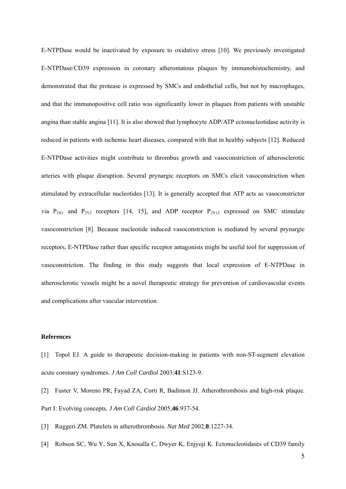E-NTPDase would be inactivated by exposure to oxidative stress [10]. We previously investigated E-NTPDase/CD39 expression in coronary atheromatous plaques by immunohistochemistry, and demonstrated that the protease is expressed by SMCs and endothelial cells, but not by macrophages, and that the immunopositive cell ratio was significantly lower in plaques from patients with unstable angina than stable angina [11]. It is also showed that lymphocyte ADP/ATP ectonucleotidase activity is reduced in patients with ischemic heart diseases, compared with that in healthy subjects [12]. Reduced E-NTPDase activities might contribute to thrombus growth and vasoconstriction of atherosclerotic arteries with plaque disruption. Several prynargic receptors on SMCs elicit vasoconstriction when stimulated by extracellular nucleotides [13]. It is generally accepted that ATP acts as vasoconstrictor via  $P_{2X1}$  and  $P_{2Y2}$  receptors [14, 15], and ADP receptor  $P_{2Y12}$  expressed on SMC stimulate vasoconstriction [8]. Because nucleotide induced vasoconstriction is mediated by several prynargic receptors, E-NTPDase rather than specific receptor antagonists might be useful tool for suppression of vasoconstriction. The finding in this study suggests that local expression of E-NTPDase in atherosclerotic vessels might be a novel therapeutic strategy for prevention of cardiovascular events and complications after vascular intervention.

## **References**

- [1] [Topol EJ](http://www.ncbi.nlm.nih.gov/entrez/query.fcgi?db=pubmed&cmd=Search&itool=pubmed_Abstract&term=%22Topol+EJ%22%5BAuthor%5D). A guide to therapeutic decision-making in patients with non-ST-segment elevation acute coronary syndromes. *[J Am Coll Cardiol](javascript:AL_get(this,%20)* 2003;**41**:S123-9.
- [2] Fuster V, Moreno PR, Fayad ZA, Corti R, Badimon JJ. Atherothrombosis and high-risk plaque. Part I: Evolving concepts. *J Am Coll Cardiol* 2005;**46**:937-54.
- [3] [Ruggeri ZM](http://www.ncbi.nlm.nih.gov/entrez/query.fcgi?db=pubmed&cmd=Search&itool=pubmed_Abstract&term=%22Ruggeri+ZM%22%5BAuthor%5D). Platelets in atherothrombosis. *[Nat Med](javascript:AL_get(this,%20)* 2002;**8**:1227-34.
- [4] [Robson SC](http://www.ncbi.nlm.nih.gov/entrez/query.fcgi?db=pubmed&cmd=Search&itool=pubmed_Abstract&term=%22Robson+SC%22%5BAuthor%5D), [Wu Y](http://www.ncbi.nlm.nih.gov/entrez/query.fcgi?db=pubmed&cmd=Search&itool=pubmed_Abstract&term=%22Wu+Y%22%5BAuthor%5D), [Sun X](http://www.ncbi.nlm.nih.gov/entrez/query.fcgi?db=pubmed&cmd=Search&itool=pubmed_Abstract&term=%22Sun+X%22%5BAuthor%5D), [Knosalla C,](http://www.ncbi.nlm.nih.gov/entrez/query.fcgi?db=pubmed&cmd=Search&itool=pubmed_Abstract&term=%22Knosalla+C%22%5BAuthor%5D) [Dwyer K](http://www.ncbi.nlm.nih.gov/entrez/query.fcgi?db=pubmed&cmd=Search&itool=pubmed_Abstract&term=%22Dwyer+K%22%5BAuthor%5D), [Enjyoji K.](http://www.ncbi.nlm.nih.gov/entrez/query.fcgi?db=pubmed&cmd=Search&itool=pubmed_Abstract&term=%22Enjyoji+K%22%5BAuthor%5D) Ectonucleotidases of CD39 family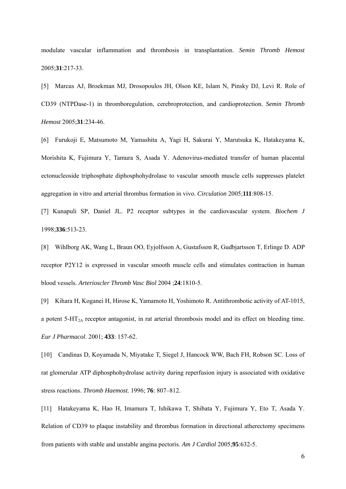modulate vascular inflammation and thrombosis in transplantation. *[Semin Thromb Hemost](javascript:AL_get(this,%20)* 2005;**31**:217-33.

[5] [Marcus AJ](http://www.ncbi.nlm.nih.gov/entrez/query.fcgi?db=pubmed&cmd=Search&itool=pubmed_Abstract&term=%22Marcus+AJ%22%5BAuthor%5D), [Broekman MJ](http://www.ncbi.nlm.nih.gov/entrez/query.fcgi?db=pubmed&cmd=Search&itool=pubmed_Abstract&term=%22Broekman+MJ%22%5BAuthor%5D), [Drosopoulos JH](http://www.ncbi.nlm.nih.gov/entrez/query.fcgi?db=pubmed&cmd=Search&itool=pubmed_Abstract&term=%22Drosopoulos+JH%22%5BAuthor%5D), [Olson KE](http://www.ncbi.nlm.nih.gov/entrez/query.fcgi?db=pubmed&cmd=Search&itool=pubmed_Abstract&term=%22Olson+KE%22%5BAuthor%5D), [Islam N,](http://www.ncbi.nlm.nih.gov/entrez/query.fcgi?db=pubmed&cmd=Search&itool=pubmed_Abstract&term=%22Islam+N%22%5BAuthor%5D) [Pinsky DJ](http://www.ncbi.nlm.nih.gov/entrez/query.fcgi?db=pubmed&cmd=Search&itool=pubmed_Abstract&term=%22Pinsky+DJ%22%5BAuthor%5D), [Levi R](http://www.ncbi.nlm.nih.gov/entrez/query.fcgi?db=pubmed&cmd=Search&itool=pubmed_Abstract&term=%22Levi+R%22%5BAuthor%5D). Role of CD39 (NTPDase-1) in thromboregulation, cerebroprotection, and cardioprotection. *[Semin Thromb](javascript:AL_get(this,%20)  [Hemost](javascript:AL_get(this,%20)* 2005;**31**:234-46.

[6] [Furukoji E](http://www.ncbi.nlm.nih.gov/entrez/query.fcgi?db=pubmed&cmd=Search&itool=pubmed_Abstract&term=%22Furukoji+E%22%5BAuthor%5D), [Matsumoto M,](http://www.ncbi.nlm.nih.gov/entrez/query.fcgi?db=pubmed&cmd=Search&itool=pubmed_Abstract&term=%22Matsumoto+M%22%5BAuthor%5D) [Yamashita A](http://www.ncbi.nlm.nih.gov/entrez/query.fcgi?db=pubmed&cmd=Search&itool=pubmed_Abstract&term=%22Yamashita+A%22%5BAuthor%5D), [Yagi H](http://www.ncbi.nlm.nih.gov/entrez/query.fcgi?db=pubmed&cmd=Search&itool=pubmed_Abstract&term=%22Yagi+H%22%5BAuthor%5D), [Sakurai Y](http://www.ncbi.nlm.nih.gov/entrez/query.fcgi?db=pubmed&cmd=Search&itool=pubmed_Abstract&term=%22Sakurai+Y%22%5BAuthor%5D), [Marutsuka K](http://www.ncbi.nlm.nih.gov/entrez/query.fcgi?db=pubmed&cmd=Search&itool=pubmed_Abstract&term=%22Marutsuka+K%22%5BAuthor%5D), [Hatakeyama K,](http://www.ncbi.nlm.nih.gov/entrez/query.fcgi?db=pubmed&cmd=Search&itool=pubmed_Abstract&term=%22Hatakeyama+K%22%5BAuthor%5D) [Morishita K,](http://www.ncbi.nlm.nih.gov/entrez/query.fcgi?db=pubmed&cmd=Search&itool=pubmed_Abstract&term=%22Morishita+K%22%5BAuthor%5D) [Fujimura Y,](http://www.ncbi.nlm.nih.gov/entrez/query.fcgi?db=pubmed&cmd=Search&itool=pubmed_Abstract&term=%22Fujimura+Y%22%5BAuthor%5D) [Tamura S](http://www.ncbi.nlm.nih.gov/entrez/query.fcgi?db=pubmed&cmd=Search&itool=pubmed_Abstract&term=%22Tamura+S%22%5BAuthor%5D), [Asada Y.](http://www.ncbi.nlm.nih.gov/entrez/query.fcgi?db=pubmed&cmd=Search&itool=pubmed_Abstract&term=%22Asada+Y%22%5BAuthor%5D) Adenovirus-mediated transfer of human placental ectonucleoside triphosphate diphosphohydrolase to vascular smooth muscle cells suppresses platelet aggregation in vitro and arterial thrombus formation in vivo. *[Circulation](javascript:AL_get(this,%20)* 2005;**111**:808-15.

[7] [Kunapuli SP](http://www.ncbi.nlm.nih.gov/entrez/query.fcgi?db=pubmed&cmd=Search&itool=pubmed_Abstract&term=%22Kunapuli+SP%22%5BAuthor%5D), [Daniel JL](http://www.ncbi.nlm.nih.gov/entrez/query.fcgi?db=pubmed&cmd=Search&itool=pubmed_Abstract&term=%22Daniel+JL%22%5BAuthor%5D). P2 receptor subtypes in the cardiovascular system. *[Biochem J](javascript:AL_get(this,%20)* 1998;**336**:513-23.

[8] [Wihlborg AK,](http://www.ncbi.nlm.nih.gov/entrez/query.fcgi?db=pubmed&cmd=Search&itool=pubmed_Abstract&term=%22Wihlborg+AK%22%5BAuthor%5D) [Wang L,](http://www.ncbi.nlm.nih.gov/entrez/query.fcgi?db=pubmed&cmd=Search&itool=pubmed_Abstract&term=%22Wang+L%22%5BAuthor%5D) [Braun OO,](http://www.ncbi.nlm.nih.gov/entrez/query.fcgi?db=pubmed&cmd=Search&itool=pubmed_Abstract&term=%22Braun+OO%22%5BAuthor%5D) [Eyjolfsson A](http://www.ncbi.nlm.nih.gov/entrez/query.fcgi?db=pubmed&cmd=Search&itool=pubmed_Abstract&term=%22Eyjolfsson+A%22%5BAuthor%5D), [Gustafsson R,](http://www.ncbi.nlm.nih.gov/entrez/query.fcgi?db=pubmed&cmd=Search&itool=pubmed_Abstract&term=%22Gustafsson+R%22%5BAuthor%5D) [Gudbjartsson T,](http://www.ncbi.nlm.nih.gov/entrez/query.fcgi?db=pubmed&cmd=Search&itool=pubmed_Abstract&term=%22Gudbjartsson+T%22%5BAuthor%5D) [Erlinge D](http://www.ncbi.nlm.nih.gov/entrez/query.fcgi?db=pubmed&cmd=Search&itool=pubmed_Abstract&term=%22Erlinge+D%22%5BAuthor%5D). ADP receptor P2Y12 is expressed in vascular smooth muscle cells and stimulates contraction in human blood vessels. *[Arterioscler Thromb Vasc Biol](javascript:AL_get(this,%20)* 2004 ;**24**:1810-5.

[9] Kihara H, Koganei H, Hirose K, Yamamoto H, Yoshimoto R. Antithrombotic activity of AT-1015, a potent 5-HT2A receptor antagonist, in rat arterial thrombosis model and its effect on bleeding time. *Eur J Pharmacol*. 2001; **433**: 157-62.

[10] Candinas D, Koyamada N, Miyatake T, Siegel J, Hancock WW, Bach FH, Robson SC. Loss of rat glomerular ATP diphosphohydrolase activity during reperfusion injury is associated with oxidative stress reactions. *Thromb Haemost.* 1996; **76**: 807–812.

[11] [Hatakeyama K,](http://www.ncbi.nlm.nih.gov/entrez/query.fcgi?db=pubmed&cmd=Search&itool=pubmed_Abstract&term=%22Hatakeyama+K%22%5BAuthor%5D) [Hao H,](http://www.ncbi.nlm.nih.gov/entrez/query.fcgi?db=pubmed&cmd=Search&itool=pubmed_Abstract&term=%22Hao+H%22%5BAuthor%5D) [Imamura T,](http://www.ncbi.nlm.nih.gov/entrez/query.fcgi?db=pubmed&cmd=Search&itool=pubmed_Abstract&term=%22Imamura+T%22%5BAuthor%5D) [Ishikawa T,](http://www.ncbi.nlm.nih.gov/entrez/query.fcgi?db=pubmed&cmd=Search&itool=pubmed_Abstract&term=%22Ishikawa+T%22%5BAuthor%5D) [Shibata Y](http://www.ncbi.nlm.nih.gov/entrez/query.fcgi?db=pubmed&cmd=Search&itool=pubmed_Abstract&term=%22Shibata+Y%22%5BAuthor%5D), [Fujimura Y,](http://www.ncbi.nlm.nih.gov/entrez/query.fcgi?db=pubmed&cmd=Search&itool=pubmed_Abstract&term=%22Fujimura+Y%22%5BAuthor%5D) [Eto T,](http://www.ncbi.nlm.nih.gov/entrez/query.fcgi?db=pubmed&cmd=Search&itool=pubmed_Abstract&term=%22Eto+T%22%5BAuthor%5D) [Asada Y.](http://www.ncbi.nlm.nih.gov/entrez/query.fcgi?db=pubmed&cmd=Search&itool=pubmed_Abstract&term=%22Asada+Y%22%5BAuthor%5D) Relation of CD39 to plaque instability and thrombus formation in directional atherectomy specimens from patients with stable and unstable angina pectoris. *[Am J Cardiol](javascript:AL_get(this,%20)* 2005;**95**:632-5.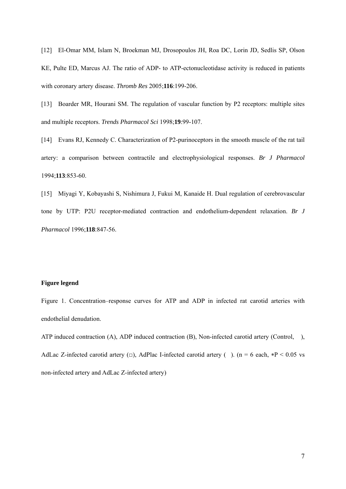[12] [El-Omar MM,](http://www.ncbi.nlm.nih.gov/entrez/query.fcgi?db=pubmed&cmd=Search&itool=pubmed_Abstract&term=%22El%2DOmar+MM%22%5BAuthor%5D) [Islam N](http://www.ncbi.nlm.nih.gov/entrez/query.fcgi?db=pubmed&cmd=Search&itool=pubmed_Abstract&term=%22Islam+N%22%5BAuthor%5D), [Broekman MJ](http://www.ncbi.nlm.nih.gov/entrez/query.fcgi?db=pubmed&cmd=Search&itool=pubmed_Abstract&term=%22Broekman+MJ%22%5BAuthor%5D), [Drosopoulos JH,](http://www.ncbi.nlm.nih.gov/entrez/query.fcgi?db=pubmed&cmd=Search&itool=pubmed_Abstract&term=%22Drosopoulos+JH%22%5BAuthor%5D) [Roa DC,](http://www.ncbi.nlm.nih.gov/entrez/query.fcgi?db=pubmed&cmd=Search&itool=pubmed_Abstract&term=%22Roa+DC%22%5BAuthor%5D) [Lorin JD,](http://www.ncbi.nlm.nih.gov/entrez/query.fcgi?db=pubmed&cmd=Search&itool=pubmed_Abstract&term=%22Lorin+JD%22%5BAuthor%5D) [Sedlis SP,](http://www.ncbi.nlm.nih.gov/entrez/query.fcgi?db=pubmed&cmd=Search&itool=pubmed_Abstract&term=%22Sedlis+SP%22%5BAuthor%5D) [Olson](http://www.ncbi.nlm.nih.gov/entrez/query.fcgi?db=pubmed&cmd=Search&itool=pubmed_Abstract&term=%22Olson+KE%22%5BAuthor%5D)  [KE,](http://www.ncbi.nlm.nih.gov/entrez/query.fcgi?db=pubmed&cmd=Search&itool=pubmed_Abstract&term=%22Olson+KE%22%5BAuthor%5D) [Pulte ED,](http://www.ncbi.nlm.nih.gov/entrez/query.fcgi?db=pubmed&cmd=Search&itool=pubmed_Abstract&term=%22Pulte+ED%22%5BAuthor%5D) [Marcus AJ.](http://www.ncbi.nlm.nih.gov/entrez/query.fcgi?db=pubmed&cmd=Search&itool=pubmed_Abstract&term=%22Marcus+AJ%22%5BAuthor%5D) The ratio of ADP- to ATP-ectonucleotidase activity is reduced in patients with coronary artery disease. *[Thromb Res](javascript:AL_get(this,%20)* 2005;**116**:199-206.

[13] [Boarder MR](http://www.ncbi.nlm.nih.gov/entrez/query.fcgi?db=pubmed&cmd=Search&itool=pubmed_Abstract&term=%22Boarder+MR%22%5BAuthor%5D), [Hourani SM.](http://www.ncbi.nlm.nih.gov/entrez/query.fcgi?db=pubmed&cmd=Search&itool=pubmed_Abstract&term=%22Hourani+SM%22%5BAuthor%5D) The regulation of vascular function by P2 receptors: multiple sites and multiple receptors. *[Trends Pharmacol Sci](javascript:AL_get(this,%20)* 1998;**19**:99-107.

[14] [Evans RJ,](http://www.ncbi.nlm.nih.gov/entrez/query.fcgi?db=pubmed&cmd=Search&itool=pubmed_Abstract&term=%22Evans+RJ%22%5BAuthor%5D) [Kennedy C](http://www.ncbi.nlm.nih.gov/entrez/query.fcgi?db=pubmed&cmd=Search&itool=pubmed_Abstract&term=%22Kennedy+C%22%5BAuthor%5D). Characterization of P2-purinoceptors in the smooth muscle of the rat tail artery: a comparison between contractile and electrophysiological responses. *[Br J Pharmacol](javascript:AL_get(this,%20)* 1994;**113**:853-60.

[15] [Miyagi Y](http://www.ncbi.nlm.nih.gov/entrez/query.fcgi?db=pubmed&cmd=Search&itool=pubmed_Abstract&term=%22Miyagi+Y%22%5BAuthor%5D), [Kobayashi S,](http://www.ncbi.nlm.nih.gov/entrez/query.fcgi?db=pubmed&cmd=Search&itool=pubmed_Abstract&term=%22Kobayashi+S%22%5BAuthor%5D) [Nishimura J](http://www.ncbi.nlm.nih.gov/entrez/query.fcgi?db=pubmed&cmd=Search&itool=pubmed_Abstract&term=%22Nishimura+J%22%5BAuthor%5D), [Fukui M](http://www.ncbi.nlm.nih.gov/entrez/query.fcgi?db=pubmed&cmd=Search&itool=pubmed_Abstract&term=%22Fukui+M%22%5BAuthor%5D), [Kanaide H.](http://www.ncbi.nlm.nih.gov/entrez/query.fcgi?db=pubmed&cmd=Search&itool=pubmed_Abstract&term=%22Kanaide+H%22%5BAuthor%5D) Dual regulation of cerebrovascular tone by UTP: P2U receptor-mediated contraction and endothelium-dependent relaxation. *[Br J](javascript:AL_get(this,%20)  [Pharmacol](javascript:AL_get(this,%20)* 1996;**118**:847-56.

## **Figure legend**

Figure 1. Concentration–response curves for ATP and ADP in infected rat carotid arteries with endothelial denudation.

ATP induced contraction (A), ADP induced contraction (B), Non-infected carotid artery (Control, ), AdLac Z-infected carotid artery  $(\square)$ , AdPlac I-infected carotid artery (). (n = 6 each, \*P < 0.05 vs non-infected artery and AdLac Z-infected artery)